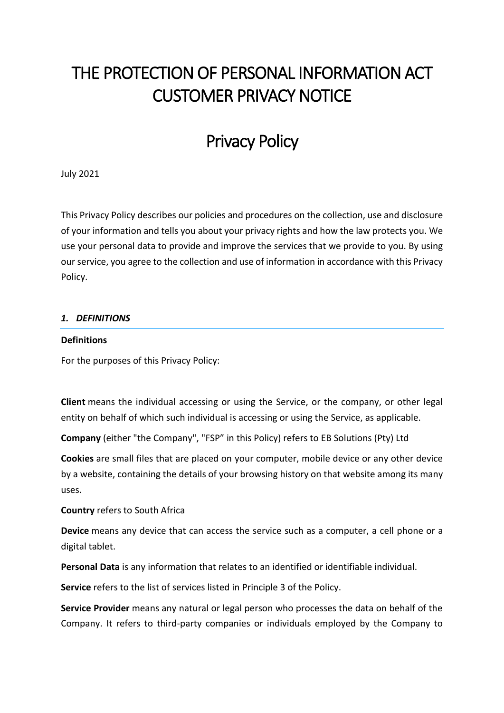# THE PROTECTION OF PERSONAL INFORMATION ACT CUSTOMER PRIVACY NOTICE

# Privacy Policy

July 2021

This Privacy Policy describes our policies and procedures on the collection, use and disclosure of your information and tells you about your privacy rights and how the law protects you. We use your personal data to provide and improve the services that we provide to you. By using our service, you agree to the collection and use of information in accordance with this Privacy Policy.

#### *1. DEFINITIONS*

#### **Definitions**

For the purposes of this Privacy Policy:

**Client** means the individual accessing or using the Service, or the company, or other legal entity on behalf of which such individual is accessing or using the Service, as applicable.

**Company** (either "the Company", "FSP" in this Policy) refers to EB Solutions (Pty) Ltd

**Cookies** are small files that are placed on your computer, mobile device or any other device by a website, containing the details of your browsing history on that website among its many uses.

**Country** refers to South Africa

**Device** means any device that can access the service such as a computer, a cell phone or a digital tablet.

**Personal Data** is any information that relates to an identified or identifiable individual.

**Service** refers to the list of services listed in Principle 3 of the Policy.

**Service Provider** means any natural or legal person who processes the data on behalf of the Company. It refers to third-party companies or individuals employed by the Company to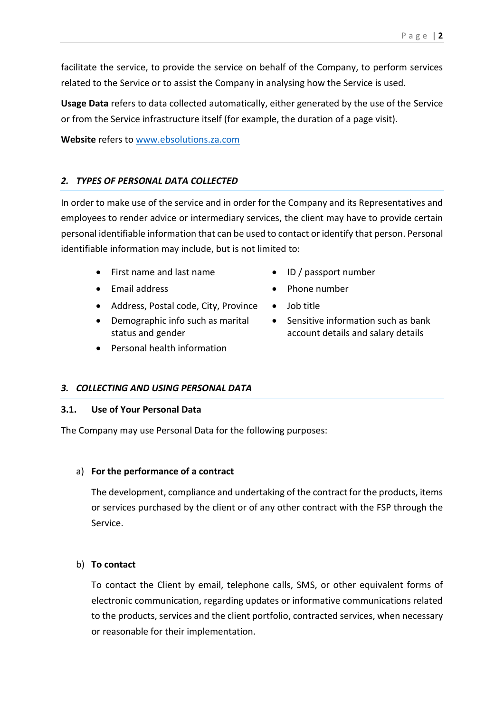facilitate the service, to provide the service on behalf of the Company, to perform services related to the Service or to assist the Company in analysing how the Service is used.

**Usage Data** refers to data collected automatically, either generated by the use of the Service or from the Service infrastructure itself (for example, the duration of a page visit).

**Website** refers to www.ebsolutions.za.com

# *2. TYPES OF PERSONAL DATA COLLECTED*

In order to make use of the service and in order for the Company and its Representatives and employees to render advice or intermediary services, the client may have to provide certain personal identifiable information that can be used to contact or identify that person. Personal identifiable information may include, but is not limited to:

- First name and last name **ID** / passport number
- 
- Address, Postal code, City, Province Job title
- Demographic info such as marital status and gender
- Personal health information
- 

*3. COLLECTING AND USING PERSONAL DATA*

# **3.1. Use of Your Personal Data**

The Company may use Personal Data for the following purposes:

# a) **For the performance of a contract**

The development, compliance and undertaking of the contract for the products, items or services purchased by the client or of any other contract with the FSP through the Service.

# b) **To contact**

To contact the Client by email, telephone calls, SMS, or other equivalent forms of electronic communication, regarding updates or informative communications related to the products, services and the client portfolio, contracted services, when necessary or reasonable for their implementation.

- 
- Email address **Company Phone number** 
	-
	- Sensitive information such as bank account details and salary details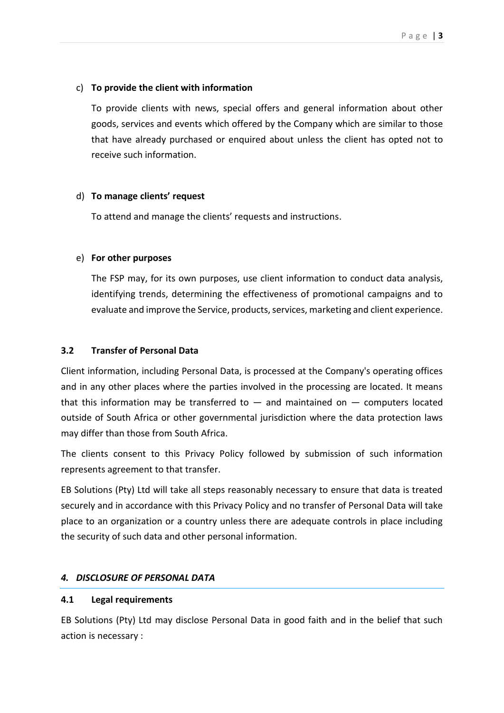# c) **To provide the client with information**

To provide clients with news, special offers and general information about other goods, services and events which offered by the Company which are similar to those that have already purchased or enquired about unless the client has opted not to receive such information.

#### d) **To manage clients' request**

To attend and manage the clients' requests and instructions.

#### e) **For other purposes**

The FSP may, for its own purposes, use client information to conduct data analysis, identifying trends, determining the effectiveness of promotional campaigns and to evaluate and improve the Service, products, services, marketing and client experience.

#### **3.2 Transfer of Personal Data**

Client information, including Personal Data, is processed at the Company's operating offices and in any other places where the parties involved in the processing are located. It means that this information may be transferred to  $-$  and maintained on  $-$  computers located outside of South Africa or other governmental jurisdiction where the data protection laws may differ than those from South Africa.

The clients consent to this Privacy Policy followed by submission of such information represents agreement to that transfer.

EB Solutions (Pty) Ltd will take all steps reasonably necessary to ensure that data is treated securely and in accordance with this Privacy Policy and no transfer of Personal Data will take place to an organization or a country unless there are adequate controls in place including the security of such data and other personal information.

# *4. DISCLOSURE OF PERSONAL DATA*

# **4.1 Legal requirements**

EB Solutions (Pty) Ltd may disclose Personal Data in good faith and in the belief that such action is necessary :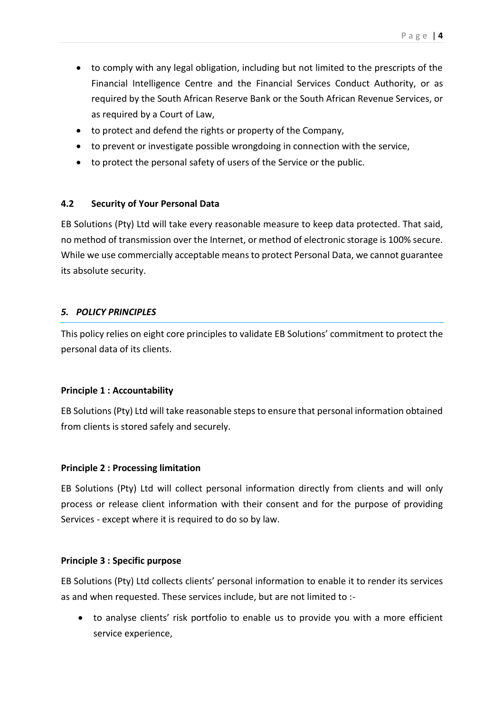- to comply with any legal obligation, including but not limited to the prescripts of the Financial Intelligence Centre and the Financial Services Conduct Authority, or as required by the South African Reserve Bank or the South African Revenue Services, or as required by a Court of Law,
- to protect and defend the rights or property of the Company,
- to prevent or investigate possible wrongdoing in connection with the service,
- to protect the personal safety of users of the Service or the public.

# **4.2 Security of Your Personal Data**

EB Solutions (Pty) Ltd will take every reasonable measure to keep data protected. That said, no method of transmission over the Internet, or method of electronic storage is 100% secure. While we use commercially acceptable means to protect Personal Data, we cannot guarantee its absolute security.

# *5. POLICY PRINCIPLES*

This policy relies on eight core principles to validate EB Solutions' commitment to protect the personal data of its clients.

#### **Principle 1 : Accountability**

EB Solutions (Pty) Ltd will take reasonable steps to ensure that personal information obtained from clients is stored safely and securely.

#### **Principle 2 : Processing limitation**

EB Solutions (Pty) Ltd will collect personal information directly from clients and will only process or release client information with their consent and for the purpose of providing Services - except where it is required to do so by law.

#### **Principle 3 : Specific purpose**

EB Solutions (Pty) Ltd collects clients' personal information to enable it to render its services as and when requested. These services include, but are not limited to :-

 to analyse clients' risk portfolio to enable us to provide you with a more efficient service experience,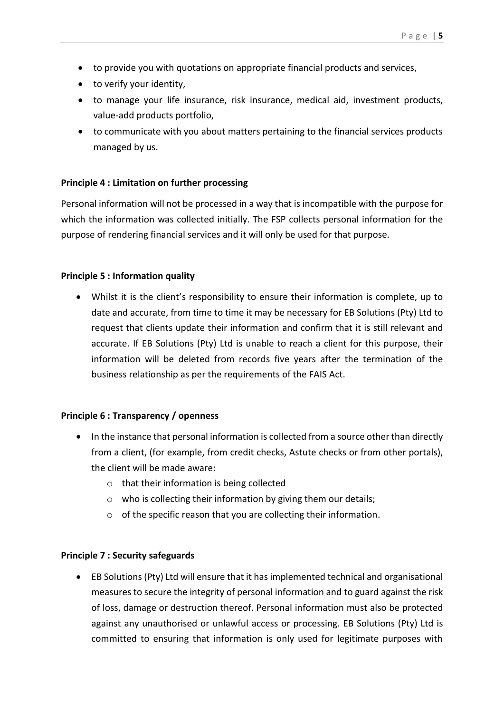- to provide you with quotations on appropriate financial products and services,
- to verify your identity,
- to manage your life insurance, risk insurance, medical aid, investment products, value-add products portfolio,
- to communicate with you about matters pertaining to the financial services products managed by us.

#### **Principle 4 : Limitation on further processing**

Personal information will not be processed in a way that is incompatible with the purpose for which the information was collected initially. The FSP collects personal information for the purpose of rendering financial services and it will only be used for that purpose.

#### **Principle 5 : Information quality**

 Whilst it is the client's responsibility to ensure their information is complete, up to date and accurate, from time to time it may be necessary for EB Solutions (Pty) Ltd to request that clients update their information and confirm that it is still relevant and accurate. If EB Solutions (Pty) Ltd is unable to reach a client for this purpose, their information will be deleted from records five years after the termination of the business relationship as per the requirements of the FAIS Act.

#### **Principle 6 : Transparency / openness**

- In the instance that personal information is collected from a source other than directly from a client, (for example, from credit checks, Astute checks or from other portals), the client will be made aware:
	- o that their information is being collected
	- $\circ$  who is collecting their information by giving them our details;
	- $\circ$  of the specific reason that you are collecting their information.

#### **Principle 7 : Security safeguards**

 EB Solutions (Pty) Ltd will ensure that it has implemented technical and organisational measures to secure the integrity of personal information and to guard against the risk of loss, damage or destruction thereof. Personal information must also be protected against any unauthorised or unlawful access or processing. EB Solutions (Pty) Ltd is committed to ensuring that information is only used for legitimate purposes with